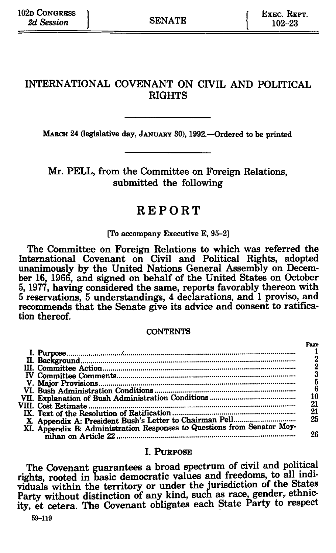## INTERNATIONAL COVENANT ON CIVIL AND POLITICAL **RIGHTS**

**MAncH** 24 (legislative day, **JANUARY 30),** 1992.-Ordered to be printed

Mr. PELL, from the Committee on Foreign Relations, submitted the following

# REPORT

#### [To accompany Executive **E, 95-2]**

The Committee on Foreign Relations to which was referred the International Covenant on Civil and Political Rights, adopted unanimously **by** the United Nations General Assembly on December **16, 1966,** and signed on behalf of the United States on October **5, 1977,** having considered the same, reports favorably thereon with **5** reservations, **5** understandings, 4 declarations, and **1** proviso, and recommends that the Senate give its advice and consent to ratification thereof.

#### **CONTENTS**

| XI. Appendix B: Administration Responses to Questions from Senator Moy- |
|-------------------------------------------------------------------------|
|                                                                         |
|                                                                         |

#### I. **PURPOSE**

The Covenant guarantees a broad spectrum of civil and political rights, rooted in basic democratic values and freedoms, to all individuals within the territory or under the jurisdiction of the States Party without distinction of any kind, such as race, gender, ethnicity, et cetera. The Covenant obligates each State Party to respective,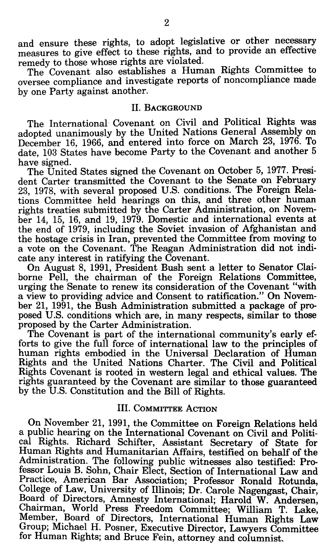and ensure these rights, to adopt legislative or other necessary measures to give effect to these rights, and to provide an effective remedy to those whose rights are violated.

The Covenant also establishes a Human Rights Committee to oversee compliance and investigate reports of noncompliance made by one Party against another.

#### II. **BACKGROUND**

The International Covenant on Civil and Political Rights was adopted unanimously by the United Nations General Assembly on December **16, 1966,** and entered into force on March **23, 1976.** To date, **103** States have become Party to the Covenant and another **5** have signed.

The United States signed the Covenant on October **5, 1977.** President Carter transmitted the Covenant to the Senate on February **23, 1978,** with several proposed U.S. conditions. The Foreign Relations Committee held hearings on this, and three other human rights treaties submitted by the Carter Administration, on November 14, **15, 16,** and **19, 1979.** Domestic and international events at the end of **1979,** including the Soviet invasion of Afghanistan and the hostage crisis in Iran, prevented the Committee from moving to a vote on the Covenant. The Reagan Administration did not indicate any interest in ratifying the Covenant.

On August **8, 1991,** President Bush sent a letter to Senator Claiborne Pell, the chairman of the Foreign Relations Committee, urging the Senate to renew its consideration of the Covenant "with a view to providing advice and Consent to ratification." On November 21, **1991,** the Bush Administration submitted a package of proposed U.S. conditions which are, in many respects, similar to those proposed by the Carter Administration.

The Covenant is part of the international community's early efforts to give the full force of international law to the principles of human rights embodied in the Universal Declaration of Human Rights and the United Nations Charter. The Civil and Political Rights Covenant is rooted in western legal and ethical values. The rights guaranteed by the Covenant are similar to those guaranteed by the U.S. Constitution and the Bill of Rights.

#### III. COMMITTEE **ACTION**

On November 21, 1991, the Committee on Foreign Relations held a public hearing on the International Covenant on Civil and Political Rights. Richard Schifter, Assistant Secretary of State for Human Rights and Humanitarian Affairs, testified on behalf of the Administration. The following public witnesses also testified: Professor Louis B. Sohn, Chair Elect, Section of International Law and Practice, American Bar Association; Professor Ronald Rotunda, College of Law, University of Illinois; Dr. Carole Nagengast, Chair, Board of Directors, Amnesty International; Harold W. Andersen, Chairman, World Press Freedom Committee; William T. Lake, Member, Board of Directors, International Human Rights Law Group; Michael H. Posner, Executive Director, Lawyers Committee for Human Rights; and Bruce Fein, attorney and columnist.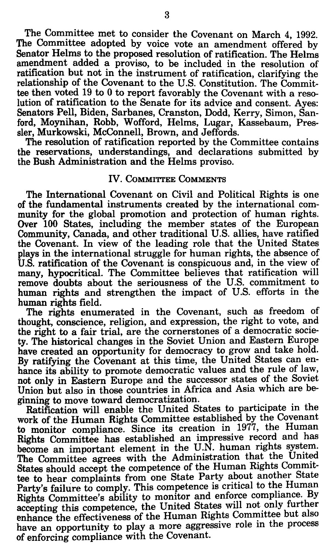The Committee met to consider the Covenant on March 4, 1992. The Committee adopted by voice vote an amendment offered by Senator Helms to the proposed resolution of ratification. The Helms amendment added a proviso, to be included in the resolution of ratification but not in the instrument of ratification, clarifying the relationship of the Covenant to the U.S. Constitution. The Committee then voted 19 to 0 to report favorably the Covenant with a resolution of ratification to the Senate for its advice and consent. Ayes: Senators Pell, Biden, Sarbanes, Cranston, Dodd, Kerry, Simon, Sanford, Moynihan, Robb, Wofford, Helms, Lugar, Kassebaum, Pressler, Murkowski, McConnell, Brown, and Jeffords.

The resolution of ratification reported by the Committee contains the reservations, understandings, and declarations submitted by the Bush Administration and the Helms proviso.

## IV. CoMMITTEE **COMMENTS**

The International Covenant on Civil and Political Rights is one of the fundamental instruments created **by** the international community for the global promotion and protection of human rights. Over **100** States, including the member states of the European Community, Canada, and other traditional **U.S.** allies, have ratified the Covenant. In view of the leading role that the United States plays in the international struggle for human rights, the absence of **U.S.** ratification of the Covenant is conspicuous and, in the view of many, hypocritical. The Committee believes that ratification will remove doubts about the seriousness of the **U.S.** commitment to human rights and strengthen the impact of **U.S.** efforts in the human rights field.

The rights enumerated in the Covenant, such as freedom of thought, conscience, religion, and expression, the right to vote, and the right to a fair trial, are the cornerstones of a democratic society. The historical changes in the Soviet Union and Eastern Europe have created an opportunity for democracy to grow and take hold. By ratifying the Covenant at this time, the United States can enhance its ability to promote democratic values and the rule of law, not only in Eastern Europe and the successor states of the Soviet Union but also in those countries in Africa and Asia which are beginning to move toward democratization.

Ratification will enable the United States to participate in the work of the Human Rights Committee established by the Covenant to monitor compliance. Since its creation in 1977, the Human Rights Committee has established an impressive record and has become an important element in the U.N. human rights system. The Committee agrees with the Administration that the United States should accept the competence of the Human Rights Committee to hear complaints from one State Party about another State Party's failure to comply. This competence is critical to the Human Rights Committee's ability to monitor and enforce compliance. By accepting this competence, the United States will not only further enhance the effectiveness of the Human Rights Committee but also have an opportunity to play a more aggressive role in the process of enforcing compliance with the Covenant.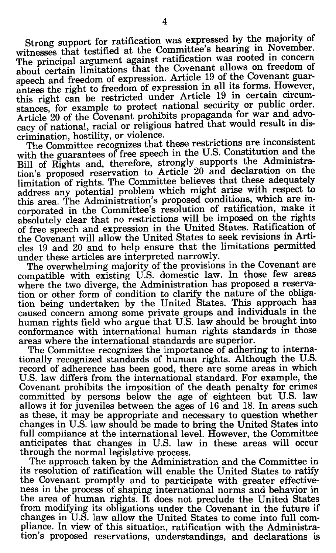Strong support for ratification was expressed by the majority of witnesses that testified at the Committee's hearing in November. The principal argument against ratification was rooted in concern about certain limitations that the Covenant allows on freedom of speech and freedom of expression. Article 19 of the Covenant guarantees the right to freedom of expression in all its forms. However, this right can be restricted under Article 19 in certain circumstances, for example to protect national security or public order. Article 20 of the Covenant prohibits propaganda for war and advocacy of national, racial or religious hatred that would result in discrimination, hostility, or violence.

The Committee recognizes that these restrictions are inconsistent with the guarantees of free speech in the U.S. Constitution and the Bill of Rights and, therefore, strongly supports the Administration's proposed reservation to Article 20 and declaration on the limitation of rights. The Committee believes that these adequately address any potential problem which might arise with respect to this area. The Administration's proposed conditions, which are incorporated in the Committee's resolution of ratification, make it absolutely clear that no restrictions will be imposed on the rights of free speech and expression in the United States. Ratification of the Covenant will allow the United States to seek revisions in Articles 19 and 20 and to help ensure that the limitations permitted under these articles are interpreted narrowly.

The overwhelming majority of the provisions in the Covenant are compatible with existing U.S. domestic law. In those few areas where the two diverge, the Administration has proposed a reservation or other form of condition to clarify the nature of the obligation being undertaken by the United States. This approach has caused concern among some private groups and individuals in the human rights field who argue that U.S. law should be brought into conformance with international human rights standards in those areas where the international standards are superior.

The Committee recognizes the importance of adhering to internationally recognized standards of human rights. Although the U.S. record of adherence has been good, there are some areas in which U.S. law differs from the international standard. For example, the Covenant prohibits the imposition of the death penalty for crimes committed by persons below the age of eighteen but U.S. law allows it for juveniles between the ages of 16 and 18. In areas such as these, it may be appropriate and necessary to question whether changes in U.S. law should be made to bring the United States into full compliance at the international level. However, the Committee anticipates that changes in U.S. law in these areas will occur through the normal legislative process.

The approach taken by the Administration and the Committee in its resolution of ratification will enable the United States to ratify the Covenant promptly and to participate with greater effectiveness in the process of shaping international norms and behavior in the area of human rights. It does not preclude the United States from modifying its obligations under the Covenant in the future if changes in U.S. law allow the United States to come into full compliance. In view of this situation, ratification with the Administration's proposed reservations, understandings, and declarations is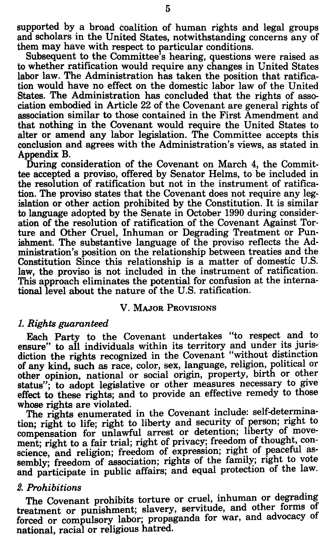supported **by** a broad coalition of human rights and legal groups and scholars in the United States, notwithstanding concerns any of them may have with respect to particular conditions.

Subsequent to the Committee's hearing, questions were raised as to whether ratification would require any changes in United States labor law. The Administration has taken the position that ratification would have no effect on the domestic labor law of the United States. The Administration has concluded that the rights of association embodied in Article 22 of the Covenant are general rights of association similar to those contained in the First Amendment and that nothing in the Covenant would require the United States to alter or amend any labor legislation. The Committee accepts this conclusion and agrees with the Administration's views, as stated in Appendix B.

During consideration of the Covenant on March 4, the Committee accepted a proviso, offered **by** Senator Helms, to be included in the resolution of ratification but not in the instrument of ratification. The proviso states that the Covenant does not require any legislation or other action prohibited **by** the Constitution. It is similar to language adopted **by** the Senate in October **1990** during consideration of the resolution of ratification of the Covenant Against Torture and Other Cruel, Inhuman or Degrading Treatment or Punishment. The substantive language of the proviso reflects the **Ad**ministration's position on the relationship between treaties and the Constitution Since this relationship is a matter of domestic **U.S.** law, the proviso is not included in the instrument of ratification. This approach eliminates the potential for confusion at the international level about the nature of the U.S. ratification.

## V. **MAJOR** PROVISIONS

#### *1. Rights guaranteed*

Each Party to the Covenant undertakes "to respect and to ensure" to all individuals within its territory and under its jurisdiction the rights recognized in the Covenant "without distinction" of any kind, such as race, color, sex, language, religion, political or other opinion, national or social origin, property, birth or other status"; to adopt legislative or other measures necessary to give effect to these rights; and to provide an effective remedy to those whose rights are violated.

The rights enumerated in the Covenant include: self-determination; right to life; right to liberty and security of person; right to compensation for unlawful arrest or detention; liberty of movement; right to a fair trial; right of privacy; freedom of thought, conscience, and religion; freedom of expression; right of peaceful assembly; freedom of association; rights of the family; right to vote and participate in public affairs; and equal protection of the law.

## *2. Prohibitions*

The Covenant prohibits torture or cruel, inhuman or degrading treatment or punishment; slavery, servitude, and other forms of forced or compulsory labor; propaganda for war, and advocacy of national, racial or religious hatred.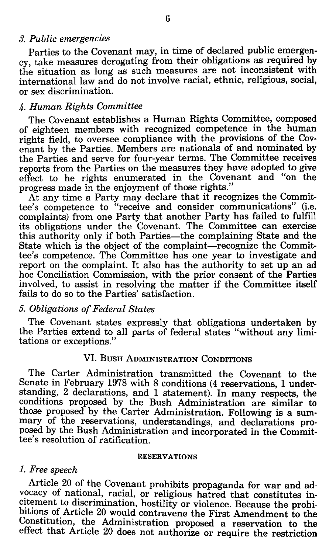#### *3. Public emergencies*

Parties to the Covenant may, in time of declared public emergency, take measures derogating from their obligations as required by the situation as long as such measures are not inconsistent with international law and do not involve racial, ethnic, religious, social, or sex discrimination.

#### 4. *Human Rights Committee*

The Covenant establishes a Human Rights Committee, composed of eighteen members with recognized competence in the human rights field, to oversee compliance with the provisions of the Covenant by the Parties. Members are nationals of and nominated by the Parties and serve for four-year terms. The Committee receives reports from the Parties on the measures they have adopted to give effect to he rights enumerated in the Covenant and "on the progress made in the enjoyment of those rights."

At any time a Party may declare that it recognizes the Committee's competence to "receive and consider communications" (i.e. complaints) from one Party that another Party has failed to fulfill its obligations under the Covenant. The Committee can exercise this authority only if both Parties-the complaining State and the State which is the object of the complaint-recognize the Committee's competence. The Committee has one year to investigate and report on the complaint. It also has the authority to set up an ad hoc Conciliation Commission, with the prior consent of the Parties involved, to assist in resolving the matter if the Committee itself fails to do so to the Parties' satisfaction.

#### *5. Obligations of Federal States*

The Covenant states expressly that obligations undertaken by the Parties extend to all parts of federal states "without any limitations or exceptions."

#### VI. BUSH **ADMINISTRATION** CONDITIONS

The Carter Administration transmitted the Covenant to the Senate in February 1978 with 8 conditions (4 reservations, 1 understanding, 2 declarations, and 1 statement). In many respects, the conditions proposed by the Bush Administration are similar to those proposed by the Carter Administration. Following is a summary of the reservations, understandings, and declarations proposed by the Bush Administration and incorporated in the Committee's resolution of ratification.

#### **RESERVATIONS**

## *1. Free speech*

Article 20 of the Covenant prohibits propaganda for war and advocacy of national, racial, or religious hatred that constitutes incitement to discrimination, hostility or violence. Because the prohibitions of Article 20 would contravene the First Amendment to the Constitution, the Administration proposed a reservation to the effect that Article 20 does not authorize or require the restriction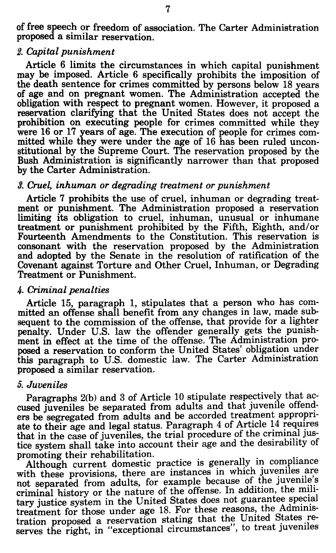of free speech or freedom of association. The Carter Administration proposed a similar reservation.

#### *2. Capital punishment*

Article **6** limits the circumstances in which capital punishment may be imposed. Article **6** specifically prohibits the imposition of the death sentence for crimes committed **by** persons below **18** years of age and on pregnant women. The Administration accepted the obligation with respect to pregnant women. However, it proposed a reservation clarifying that the United States does not accept the prohibition on executing people for crimes committed while they were **16** or **17** years of age. The execution of people for crimes committed while they were under the age of **16** has been ruled unconstitutional **by** the Supreme Court. The reservation proposed **by** the Bush Administration is significantly narrower than that proposed **by** the Carter Administration.

### *3. Cruel, inhuman or degrading treatment or punishment*

Article **7** prohibits the use of cruel, inhuman or degrading treatment or punishment. The Administration proposed a reservation limiting its obligation to cruel, inhuman, unusual or inhumane treatment or punishment prohibited **by** the Fifth, Eighth, and/or Fourteenth Amendments to the Constitution. This reservation is consonant with the reservation proposed **by** the Administration and adopted **by** the Senate in the resolution of ratification of the Covenant against Torture and Other Cruel, Inhuman, or Degrading Treatment or Punishment.

### *4. Criminal penalties*

Article **15,** paragraph **1,** stipulates that a person who has committed an offense shall benefit from any changes in law, made subsequent to the commission of the offense, that provide for a lighter penalty. Under **U.S.** law the offender generally gets the punishment in effect at the time of the offense. The Administration proposed a reservation to conform the United States' obligation under this paragraph to **U.S.** domestic law. The Carter Administration proposed a similar reservation.

### *5. Juveniles*

Paragraphs **2(b)** and **3** of Article **10** stipulate respectively that accused juveniles be separated from adults and that juvenile offenders be segregated from adults and be accorded treatment appropriate to their age and legal status. Paragraph 4 of Article 14 requires that in the case of juveniles, the trial procedure of the criminal justice system shall take into account their age and the desirability of promoting their rehabilitation.

Although current domestic practice is generally in compliance with these provisions, there are instances in which juveniles are not separated from adults, for example because of the juvenile's criminal history or the nature of the offense. In addition, the military justice system in the United States does not guarantee special treatment for those under age **18.** For these reasons, the Administration proposed a reservation stating that the United States reserves the right, in "exceptional circumstances", to treat juveniles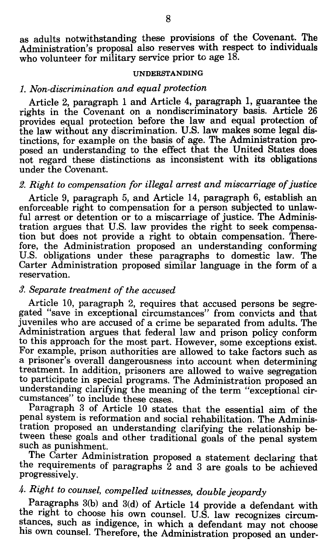as adults notwithstanding these provisions of the Covenant. The Administration's proposal also reserves with respect to individuals who volunteer for military service prior to age 18.

#### **UNDERSTANDING**

#### *1. Non-discrimination and equal protection*

Article 2, paragraph 1 and Article 4, paragraph 1, guarantee the rights in the Covenant on a nondiscriminatory basis. Article 26 provides equal protection before the law and equal protection of the law without any discrimination. U.S. law makes some legal distinctions, for example on the basis of age. The Administration proposed an understanding to the effect that the United States does not regard these distinctions as inconsistent with its obligations under the Covenant.

#### *2. Right to compensation for illegal arrest and miscarriage of justice*

Article 9, paragraph 5, and Article 14, paragraph 6, establish an enforceable right to compensation for a person subjected to unlawful arrest or detention or to a miscarriage of justice. The Administration argues that U.S. law provides the right to seek compensation but does not provide a right to obtain compensation. Therefore, the Administration proposed an understanding conforming U.S. obligations under these paragraphs to domestic law. The Carter Administration proposed similar language in the form of a reservation.

#### *3. Separate treatment of the accused*

Article 10, paragraph 2, requires that accused persons be segregated "save in exceptional circumstances" from convicts and that juveniles who are accused of a crime be separated from adults. The Administration argues that federal law and prison policy conform to this approach for the most part. However, some exceptions exist. For example, prison authorities are allowed to take factors such as a prisoner's overall dangerousness into account when determining treatment. In addition, prisoners are allowed to waive segregation to participate in special programs. The Administration proposed an understanding clarifying the meaning of the term "exceptional circumstances" to include these cases.

Paragraph **3** of Article 10 states that the essential aim of the penal system is reformation and social rehabilitation. The Administration proposed an understanding clarifying the relationship between these goals and other traditional goals of the penal system such as punishment.

The Carter Administration proposed a statement declaring that the requirements of paragraphs 2 and **3** are goals to be achieved progressively.

# *4. Right to counsel, compelled witnesses, double jeopardy*

Paragraphs 3(b) and 3(d) of Article 14 provide a defendant with  $\tau$  and  $\sigma$  and  $\sigma$  and  $\sigma$  or Article 14 provide a defendant with the right to choose his own counsel. ITS law recognizes circumstances, such as indigence, in which a defendant may not choose his own counsel. Therefore, the Administration proposed an under-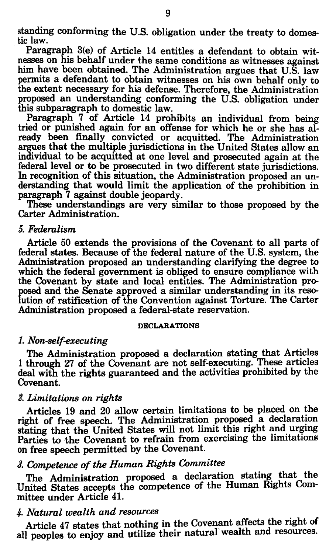Paragraph 3(e) of Article 14 entitles a defendant to obtain witnesses on his behalf under the same conditions as witnesses against him have been obtained. The Administration argues that U.S. law permits a defendant to obtain witnesses on his own behalf only to the extent necessary for his defense. Therefore, the Administration proposed an understanding conforming the U.S. obligation under this subparagraph to domestic law.

Paragraph 7 of Article 14 prohibits an individual from being tried or punished again for an offense for which he or she has already been finally convicted or acquitted. The Administration argues that the multiple jurisdictions in the United States allow an individual to be acquitted at one level and prosecuted again at the federal level or to be prosecuted in two different state jurisdictions. In recognition of this situation, the Administration proposed an understanding that would limit the application of the prohibition in paragraph **7** against double jeopardy.

These understandings are very similar to those proposed by the Carter Administration.

## *5. Federalism*

Article **50** extends the provisions of the Covenant to all parts of federal states. Because of the federal nature of the U.S. system, the Administration proposed an understanding clarifying the degree to which the federal government is obliged to ensure compliance with the Covenant by state and local entities. The Administration proposed and the Senate approved a similar understanding in its resolution of ratification of the Convention against Torture. The Carter Administration proposed a federal-state reservation.

#### **DECLARATIONS**

## *1. Non-self-executing*

The Administration proposed a declaration stating that Articles **1** through **27** of the Covenant are not self-executing. These articles deal with the rights guaranteed and the activities prohibited **by** the Covenant.

## *2. Limitations on rights*

Articles **19** and 20 allow certain limitations to be placed on the right of free speech. The Administration proposed a declaration stating that the United States will not limit this right and urging Parties to the Covenant to refrain from exercising the limitations on free speech permitted **by** the Covenant.

# *8. Competence of the Human Rights Committee*

The Administration proposed a declaration stating that the United States accepts the competence of the Human Rights Committee under Article 41.

## *4. Natural wealth and resources*

Article 47 states that nothing in the Covenant affects the right of all peoples to enjoy and utilize their natural wealth and resources.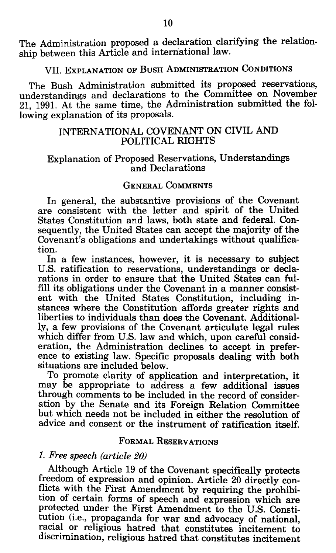The Administration proposed a declaration clarifying the relationship between this Article and international law.

# VII. **EXPLANATION** OF BUSH **ADMINISTRATION CONDITIONS**

The Bush Administration submitted its proposed reservations, understandings and declarations to the Committee on November 21, **1991.** At the same time, the Administration submitted the following explanation of its proposals.

## INTERNATIONAL **COVENANT ON** CIVIL **AND** POLITICAL RIGHTS

## Explanation of Proposed Reservations, Understandings and Declarations

### **GENERAL COMMENTS**

In general, the substantive provisions of the Covenant are consistent with the letter and spirit of the United States Constitution and laws, both state and federal. Consequently, the United States can accept the majority of the Covenant's obligations and undertakings without qualification.

In a few instances, however, it is necessary to subject U.S. ratification to reservations, understandings or declarations in order to ensure that the United States can fulfill its obligations under the Covenant in a manner consistent with the United States Constitution, including instances where the Constitution affords greater rights and liberties to individuals than does the Covenant. Additionally, a few provisions of the Covenant articulate legal rules which differ from U.S. law and which, upon careful consideration, the Administration declines to accept in preference to existing law. Specific proposals dealing with both situations are included below.

To promote clarity of application and interpretation, it may be appropriate to address a few additional issues through comments to be included in the record of consideration by the Senate and its Foreign Relation Committee but which needs not be included in either the resolution of advice and consent or the instrument of ratification itself.

## FORMAL RESERVATIONS

#### *1. Free speech (article 20)*

Although Article 19 of the Covenant specifically protects freedom of expression and opinion. Article 20 directly conflicts with the First Amendment by requiring the prohibition of certain forms of speech and expression which are protected under the First Amendment to the U.S. Constitution (i.e., propaganda for war and advocacy of national, racial or religious hatred that constitutes incitement to discrimination, religious hatred that constitutes incitement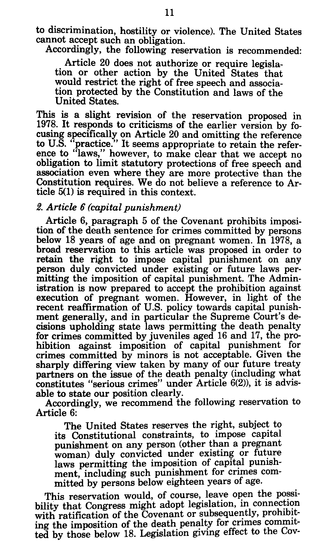to discrimination, hostility or violence). The United States cannot accept such an obligation.

Accordingly, the following reservation is recommended:

Article 20 does not authorize or require legislation or other action by the United States that would restrict the right of free speech and association protected **by** the Constitution and laws of the United States.

This is a slight revision of the reservation proposed in **1978.** It responds to criticisms of the earlier version **by** focusing specifically on Article 20 and omitting the reference to **U.S.** "practice." It seems appropriate to retain the reference to "laws," however, to make clear that we accept no obligation to limit statutory protections of free speech and association even where they are more protective than the Constitution requires. We do not believe a reference to Article **5(1)** is required in this context.

### *2. Article 6 (capital punishment)*

Article **6,** paragraph **5** of the Covenant prohibits imposition of the death sentence for crimes committed **by** persons below **18** years of age and on pregnant women. In **1978,** a broad reservation to this article was proposed in order to retain the right to impose capital punishment on any person duly convicted under existing or future laws permitting the imposition of capital punishment. The Administration is now prepared to accept the prohibition against execution of pregnant women. However, in light of the recent reaffirmation of **U.S.** policy towards capital punishment generally, and in particular the Supreme Court's decisions upholding state laws permitting the death penalty for crimes committed **by** juveniles aged **16** and **17,** the prohibition against imposition of capital punishment for crimes committed **by** minors is not acceptable. Given the sharply differing view taken **by** many of our future treaty partners on the issue of the death penalty (including what constitutes "serious crimes" under Article **6(2)),** it is advisable to state our position clearly.

Accordingly, we recommend the following reservation to Article **6:**

The United States reserves the right, subject to its Constitutional constraints, to impose capital punishment on any person (other than a pregnant woman) duly convicted under existing or future laws permitting the imposition of capital punishment, including such punishment for crimes committed **by** persons below eighteen years of age.

This reservation would, of course, leave open the possibility that Congress might adopt legislation, in connection with ratification of the Covenant or subsequently, prohibiting the imposition of the death penalty for crimes committed **by** those below **18.** Legislation giving effect to the **Coy-**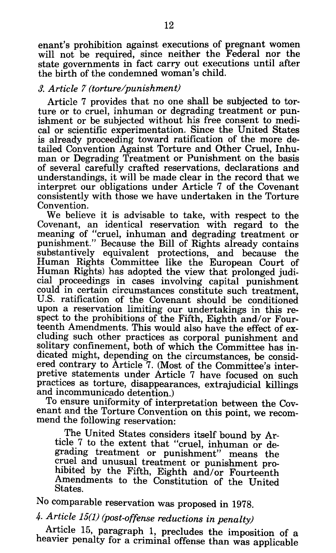enant's prohibition against executions of pregnant women will not be required, since neither the Federal nor the state governments in fact carry out executions until after the birth of the condemned woman's child.

### *3. Article 7 (torture/punishment)*

Article 7 provides that no one shall be subjected to torture or to cruel, inhuman or degrading treatment or punishment or be subjected without his free consent to medical or scientific experimentation. Since the United States is already proceeding toward ratification of the more detailed Convention Against Torture and Other Cruel, Inhuman or Degrading Treatment or Punishment on the basis of several carefully crafted reservations, declarations and understandings, it will be made clear in the record that we interpret our obligations under Article 7 of the Covenant consistently with those we have undertaken in the Torture Convention.

We believe it is advisable to take, with respect to the Covenant, an identical reservation with regard to the meaning of "cruel, inhuman and degrading treatment or punishment." Because the Bill of Rights already contains substantively equivalent protections, and because the Human Rights Committee like the European Court of Human Rights) has adopted the view that prolonged judi-<br>cial proceedings in cases involving capital punishment<br>could in certain circumstances constitute such treatment,<br>U.S. ratification of the Covenant should be condition upon a reservation limiting our undertakings in this respect to the prohibitions of the Fifth, Eighth and/or Fourteenth Amendments. This would also have the effect of excluding such other practices as corporal punishment and solitary confinement, both of which the Committee has indicated might, depending on the circumstances, be considered contrary to Article 7. (Most of the Committee's interpretive statements under Article 7 have focused on such practices as torture, disappearances, extrajudicial killings and incommunicado detention.)

To ensure uniformity of interpretation between the Covenant and the Torture Convention on this point, we recommend the following reservation:

The United States considers itself bound by Article 7 to the extent that "cruel, inhuman or degrading treatment or punishment" means the cruel and unusual treatment or punishment pro- hibited by the Fifth, Eighth and/or Fourteenth Amendments to the Constitution of the United States.

No comparable reservation was proposed in 1978.

# 4. *Article 15(1) (post-offense reductions in penalty)*

Article 15, paragraph 1, precludes the imposition of a heavier penalty for a criminal offense than was applicable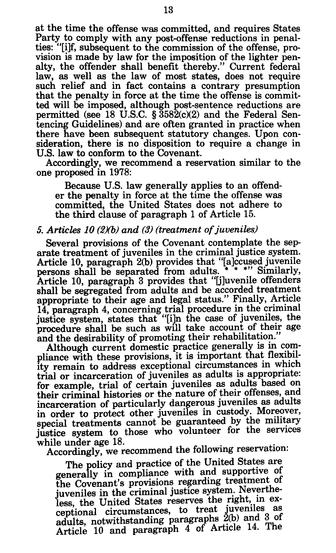at the time the offense was committed, and requires States Party to comply with any post-offense reductions in penalties: "[i]f, subsequent to the commission of the offense, provision is made by law for the imposition of the lighter penalty, the offender shall benefit thereby." Current federal law, as well as the law of most states, does not require such relief and in fact contains a contrary presumption that the penalty in force at the time the offense is committed will be imposed, although post-sentence reductions are permitted (see 18 U.S.C. § 3582(c)(2) and the Federal Sentencing Guidelines) and are often granted in practice when there have been subsequent statutory changes. Upon consideration, there is no disposition to require a change in U.S. law to conform to the Covenant.

Accordingly, we recommend a reservation similar to the one proposed in 1978:

Because U.S. law generally applies to an offender the penalty in force at the time the offense was committed, the United States does not adhere to the third clause of paragraph 1 of Article 15.

### *5. Articles 10 (2)(b) and (3) (treatment of juveniles)*

Several provisions of the Covenant contemplate the separate treatment of juveniles in the criminal justice system. Article 10, paragraph 2(b) provides that "[a]ccused juvenile persons shall be separated from adults. \* \* **\*"** Similarly, Article 10, paragraph 3 provides that "[j]uvenile offenders shall be segregated from adults and be accorded treatment appropriate to their age and legal status." Finally, Article 14, paragraph 4, concerning trial procedure in the criminal justice system, states that "[i]n the case of juveniles, the procedure shall be such as will take account of their age and the desirability of promoting their rehabilitation."

Although current domestic practice generally is in compliance with these provisions, it is important that flexibility remain to address exceptional circumstances in which trial or incarceration of juveniles as adults is appropriate: for example, trial of certain juveniles as adults based on their criminal histories or the nature of their offenses, and incarceration of particularly dangerous juveniles as adults in order to protect other juveniles in custody. Moreover, special treatments cannot be guaranteed by the military justice system to those who volunteer for the services while under age 18.

Accordingly, we recommend the following reservation:

The policy and practice of the United States are generally in compliance with and supportive of the Covenant's provisions regarding treatment of juveniles in the criminal justice system. Nevertheless, the United States reserves the right, in exceptional circumstances, to treat juveniles as adults, notwithstanding paragraphs 2(b) and 3 of Article 10 and paragraph  $4$  of Article 14. The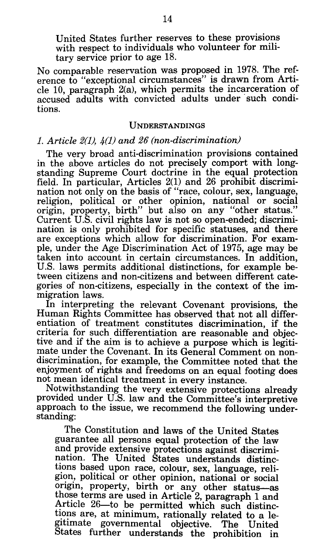United States further reserves to these provisions with respect to individuals who volunteer for military service prior to age 18.

No comparable reservation was proposed in 1978. The reference to "exceptional circumstances" is drawn from Article 10, paragraph 2(a), which permits the incarceration of accused adults with convicted adults under such conditions.

#### **UNDERSTANDINGS**

## *1. Article 2(1), 4(1) and 26 (non-discrimination)*

The very broad anti-discrimination provisions contained in the above articles do not precisely comport with longstanding Supreme Court doctrine in the equal protection field. In particular, Articles 2(1) and 26 prohibit discrimination not only on the basis of "race, colour, sex, language, religion, political or other opinion, national or social origin, property, birth" but also on any "other status." Current U.S. civil rights law is not so open-ended; discrimination is only prohibited for specific statuses, and there are exceptions which allow for discrimination. For example, under the Age Discrimination Act of 1975, age may be taken into account in certain circumstances. In addition, U.S. laws permits additional distinctions, for example between citizens and non-citizens and between different categories of non-citizens, especially in the context of the immigration laws.

In interpreting the relevant Covenant provisions, the Human Rights Committee has observed that not all differentiation of treatment constitutes discrimination, if the tive and if the aim is to achieve a purpose which is legitimate under the Covenant. In its General Comment on nondiscrimination, for example, the Committee noted that the enjoyment of rights and freedoms on an equal footing does not mean identical treatment in every instance.

Notwithstanding the very extensive protections already provided under U.S. law and the Committee's interpretive approach to the issue, we recommend the following understanding:

The Constitution and laws of the United States guarantee all persons equal protection of the law and provide extensive protections against discrimination. The United States understands distinctions based upon race, colour, sex, language, religion, political or other opinion, national or social origin, property, birth or any other status-as those terms are used in Article 2, paragraph 1 and Article 26-to be permitted which such distinctions are, at minimum, rationally related to a legitimate governmental objective. The United States further understands the prohibition in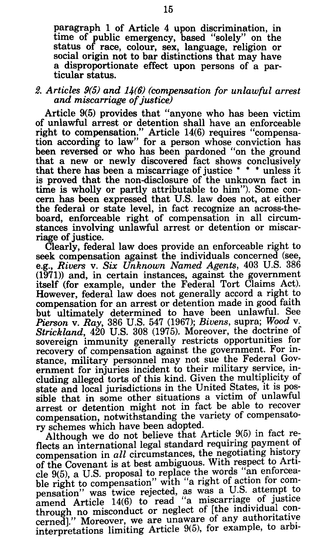paragraph 1 of Article 4 upon discrimination, in time of public emergency, based "solely" on the status of race, colour, sex, language, religion or social origin not to bar distinctions that may have a disproportionate effect upon persons of a particular status.

## *2. Articles 9(5) and 14(6) (compensation for unlawful arrest and miscarriage of justice)*

Article **9(5)** provides that "anyone who has been victim of unlawful arrest or detention shall have an enforceable right to compensation." Article 14(6) requires "compensation according to law" for a person whose conviction has been reversed or who has been pardoned "on the ground that a new or newly discovered fact shows conclusively that there has been a miscarriage of justice **\* \* \*** unless it is proved that the non-disclosure of the unknown fact in time is wholly or partly attributable to him"). Some concern has been expressed that **U.S.** law does not, at either the federal or state level, in fact recognize an across-theboard, enforceable right of compensation in all circumstances involving unlawful arrest or detention or miscarriage of justice.

Clearly, federal law does provide an enforceable right to seek compensation against the individuals concerned (see, e.g., *Rivers v. Six Unknown Named Agents,* 403 **U.S. 386 (1971))** and, in certain instances, against the government itself (for example, under the Federal Tort Claims Act). However, federal law does not generally accord a right to compensation for an arrest or detention made in good faith but ultimately determined to have been unlawful. See *Pierson v. Ray,* **386 U.S.** 547 **(1967);** *Bivens,* supra; *Wood* v. *Strickland,* 420 **U.S. 308 (1975).** Moreover, the doctrine of sovereign immunity generally restricts opportunities for recovery of compensation against the government. For instance, military personnel may not sue the Federal Government for injuries incident to their military service, including alleged torts of this kind. Given the multiplicity of state and local jurisdictions in the United States, it is possible that in some other situations a victim of unlawful arrest or detention might not in fact be able to recover compensation, notwithstanding the variety of compensatory schemes which have been adopted.

Although we do not believe that Article **9(5)** in fact reflects an international legal standard requiring payment of compensation in *all* circumstances, the negotiating history of the Covenant is at best ambiguous. With respect to Article **9(5),** a **U.S.** proposal to replace the words "an enforceable right to compensation" with "a right of action for compensation" was twice rejected, as was a **U.S.** attempt to amend Article 14(6) to read "a miscarriage of justice through no misconduct or neglect of [the individual concerned]." Moreover, we are unaware of any authoritative interpretations limiting Article **9(5),** for example, to arbi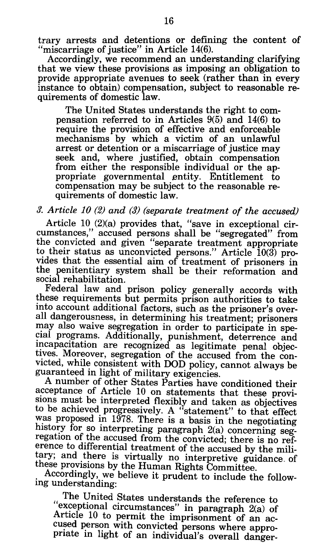trary arrests and detentions or defining the content of "miscarriage of justice" in Article 14(6).

Accordingly, we recommend an understanding clarifying that we view these provisions as imposing an obligation to provide appropriate avenues to seek (rather than in every instance to obtain) compensation, subject to reasonable requirements of domestic law.

The United States understands the right to compensation referred to in Articles 9(5) and 14(6) to require the provision of effective and enforceable mechanisms by which a victim of an unlawful arrest or detention or a miscarriage of justice may seek and, where justified, obtain compensation<br>from either the responsible individual or the ap-<br>propriate governmental entity. Entitlement to compensation may be subject to the reasonable requirements of domestic law.

## *3. Article 10 (2) and (3) (separate treatment of the accused)*

Article 10  $(2)(a)$  provides that, "save in exceptional circumstances," accused persons shall be "segregated" from the convicted and given "separate treatment appropriate to their status as unconvicted persons." Article 10 social rehabilitation.<br>Federal law and prison policy generally accords with

these requirements but permits prison authorities to take<br>into account additional factors, such as the prisoner's over-<br>all dangerousness, in determining his treatment; prisoners<br>may also waive segregation in order to part

sions must be interpreted flexibly and taken as objectives to be achieved progressively. A "statement" to that effect was proposed in 1978. There is a basis in the negotiating history for so interpreting paragraph  $2(a)$  concerning segregation of the accused from the convicted; there is no reference to differential treatment of the accused by the military; and there is virtually no interpretive guidance of these provisions by the Human Rights Committee.<br>Accordingly, we believe it prudent to include the follow-

ing understanding:

The United States understands the reference to<br>
"exceptional circumstances" in paragraph  $2(a)$  of<br>
Article 10 to permit the imprisonment of an ac-<br>
cused person with convicted persons where appro-<br>
priate in light of an i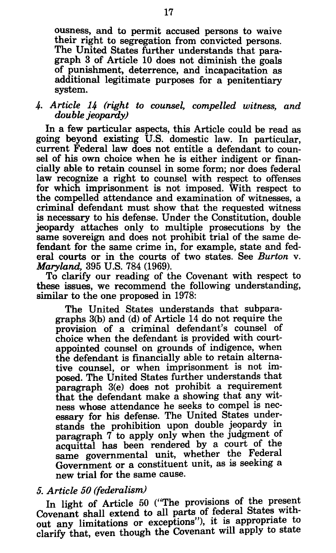ousness, and to permit accused persons to waive their right to segregation from convicted persons. The United States further understands that paragraph **3** of Article 10 does not diminish the goals of punishment, deterrence, and incapacitation as additional legitimate purposes for a penitentiary system.

## *4. Article 14 (right to counsel, compelled witness, and double jeopardy)*

In a few particular aspects, this Article could be read as going beyond existing U.S. domestic law. In particular, current Federal law does not entitle a defendant to counsel of his own choice when he is either indigent or financially able to retain counsel in some form; nor does federal law recognize a right to counsel with respect to offenses for which imprisonment is not imposed. With respect to the compelled attendance and examination of witnesses, a criminal defendant must show that the requested witness is necessary to his defense. Under the Constitution, double jeopardy attaches only to multiple prosecutions by the same sovereign and does not prohibit trial of the same defendant for the same crime in, for example, state and federal courts or in the courts of two states. See *Burton v. Maryland,* **395** U.S. 784 (1969).

To clarify our reading of the Covenant with respect to these issues, we recommend the following understanding, similar to the one proposed in 1978:

The United States understands that subparagraphs 3(b) and (d) of Article 14 do not require the provision of a criminal defendant's counsel of choice when the defendant is provided with courtappointed counsel on grounds of indigence, when the defendant is financially able to retain alternative counsel, or when imprisonment is not imposed. The United States further understands that paragraph 3(e) does not prohibit a requirement that the defendant make a showing that any witness whose attendance he seeks to compel is necessary for his defense. The United States understands the prohibition upon double jeopardy in paragraph 7 to apply only when the judgment of acquittal has been rendered by a court of the same governmental unit, whether the Federal Government or a constituent unit, as is seeking a new trial for the same cause.

## *5. Article 50 (federalism)*

In light of Article 50 ("The provisions of the present Covenant shall extend to all parts of federal States without any limitations or exceptions"), it is appropriate to clarify that, even though the Covenant will apply to state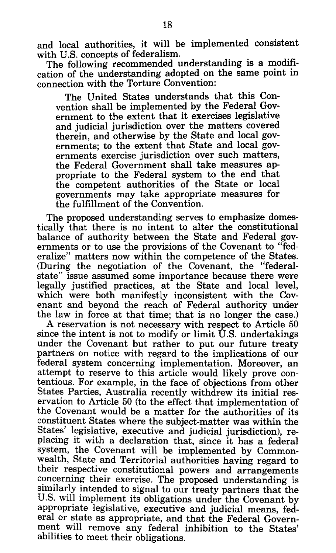and local authorities, it will be implemented consistent with U.S. concepts of federalism.

The following recommended understanding is a modification of the understanding adopted on the same point in connection with the Torture Convention:

The United States understands that this Convention shall be implemented by the Federal Government to the extent that it exercises legislative and judicial jurisdiction over the matters covered therein, and otherwise by the State and local governments; to the extent that State and local governments exercise jurisdiction over such matters, the Federal Government shall take measures appropriate to the Federal system to the end that the competent authorities of the State or local governments may take appropriate measures for the fulfillment of the Convention.

The proposed understanding serves to emphasize domestically that there is no intent to alter the constitutional balance of authority between the State and Federal governments or to use the provisions of the Covenant to "federalize" matters now within the competence of the States. (During the negotiation of the Covenant, the "federalstate" issue assumed some importance because there were legally justified practices, at the State and local level, which were both manifestly inconsistent with the Covenant and beyond the reach of Federal authority under the law in force at that time; that is no longer the case.)

A reservation is not necessary with respect to Article 50 since the intent is not to modify or limit U.S. undertakings under the Covenant but rather to put our future treaty partners on notice with regard to the implications of our federal system concerning implementation. Moreover, an attempt to reserve to this article would likely prove contentious. For example, in the face of objections from other States Parties, Australia recently withdrew its initial reservation to Article 50 (to the effect that implementation of the Covenant would be a matter for the authorities of its constituent States where the subject-matter was within the States' legislative, executive and judicial jurisdiction), replacing it with a declaration that, since it has a federal system, the Covenant will be implemented by Commonwealth, State and Territorial authorities having regard to their respective constitutional powers and arrangements concerning their exercise. The proposed understanding is similarly intended to signal to our treaty partners that the U.S. will implement its obligations under the Covenant by appropriate legislative, executive and judicial means, federal or state as appropriate, and that the Federal Government will remove any federal inhibition to the States' abilities to meet their obligations.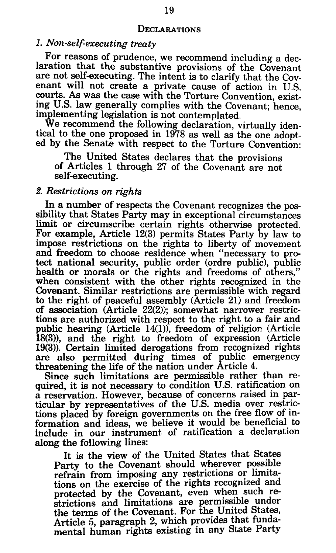#### **DECLARATIONS**

## *1. Non-self-executing treaty*

For reasons of prudence, we recommend including a declaration that the substantive provisions of the Covenant are not self-executing. The intent is to clarify that the Covenant will not create a private cause of action in **U.S.** courts. As was the case with the Torture Convention, existing **U.S.** law generally complies with the Covenant; hence, implementing legislation is not contemplated.

We recommend the following declaration, virtually identical to the one proposed in **1978** as well as the one adopted **by** the Senate with respect to the Torture Convention:

The United States declares that the provisions of Articles **1** through **27** of the Covenant are not self-executing.

#### *2. Restrictions on rights*

In a number of respects the Covenant recognizes the possibility that States Party may in exceptional circumstances limit or circumscribe certain rights otherwise protected. For example, Article **12(3)** permits States Party **by** law to impose restrictions on the rights to liberty of movement and freedom to choose residence when "necessary to protect national security, public order (ordre public), public health or morals or the rights and freedoms of others," when consistent with the other rights recognized in the Covenant. Similar restrictions are permissible with regard to the right of peaceful assembly (Article 21) and freedom of association (Article 22(2)); somewhat narrower restrictions are authorized with respect to the right to a fair and public hearing (Article 14(1)), freedom of religion (Article 18(3)), and the right to freedom of expression (Article **19(3)).** Certain limited derogations from recognized rights are also permitted during times of public emergency threatening the life of the nation under Article 4.

Since such limitations are permissible rather than required, it is not necessary to condition **U.S.** ratification on a reservation. However, because of concerns raised in particular **by** representatives of the **U.S.** media over restrictions placed **by** foreign governments on the free flow of information and ideas, we believe it would be beneficial to include in our instrument of ratification a declaration along the following lines:

It is the view of the United States that States Party to the Covenant should wherever possible refrain from imposing any restrictions or limitations on the exercise of the rights recognized and protected **by** the Covenant, even when such restrictions and limitations are permissible under the terms of the Covenant. For the United States, Article **5,** paragraph 2, which provides that fundamental human rights existing in any State Party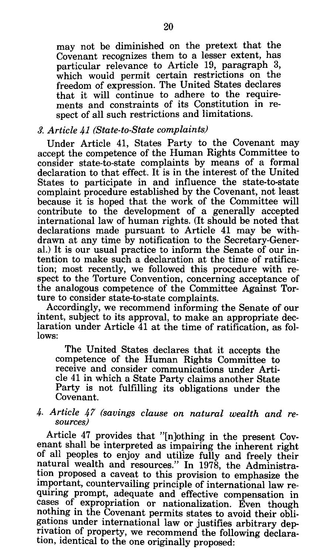may not be diminished on the pretext that the Covenant recognizes them to a lesser extent, has particular relevance to Article 19, paragraph 3, which would permit certain restrictions on the freedom of expression. The United States declares that it will continue to adhere to the requirements and constraints of its Constitution in respect of all such restrictions and limitations.

#### *3. Article 41 (State-to-State complaints)*

Under Article 41, States Party to the Covenant may accept the competence of the Human Rights Committee to consider state-to-state complaints by means of a formal declaration to that effect. It is in the interest of the United States to participate in and influence the state-to-state complaint procedure established by the Covenant, not least because it is hoped that the work of the Committee will contribute to the development of a generally accepted international law of human rights. (It should be noted that declarations made pursuant to Article 41 may be withdrawn at any time by notification to the Secretary-General.) It is our usual practice to inform the Senate of our intention to make such a declaration at the time of ratification; most recently, we followed this procedure with respect to the Torture Convention, concerning acceptance of the analogous competence of the Committee Against Torture to consider state-to-state complaints.

Accordingly, we recommend informing the Senate of our intent, subject to its approval, to make an appropriate declaration under Article 41 at the time of ratification, as follows:

The United States declares that it accepts the competence of the Human Rights Committee to receive and consider communications under Article 41 in which a State Party claims another State Party is not fulfilling its obligations under the Covenant.

## *4. Article 47 (savings clause on natural wealth and resources)*

Article 47 provides that "[n]othing in the present Covenant shall be interpreted as impairing the inherent right of all peoples to enjoy and utilize fully and freely their natural wealth and resources." In 1978, the Administration proposed a caveat to this provision to emphasize the important, countervailing principle of international law requiring prompt, adequate and effective compensation in cases of expropriation or nationalization. Even though nothing in the Covenant permits states to avoid their obligations under international law or justifies arbitrary deprivation of property, we recommend the following declaration, identical to the one originally proposed: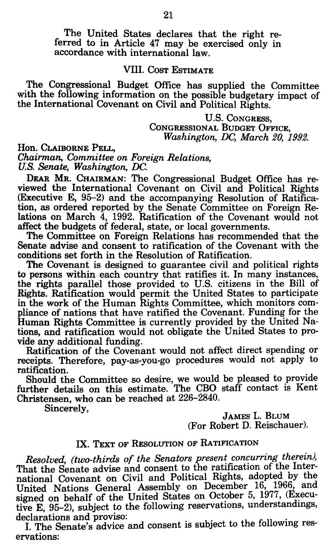The United States declares that the right referred to in Article 47 may be exercised only in accordance with international law.

## VIII. **COST ESTIMATE**

The Congressional Budget Office has supplied the Committee with the following information on the possible budgetary impact of the International Covenant on Civil and Political Rights.

> U.S. **CONGRESS, CONGRESSIONAL BUDGET OFFICE,** *Washington, DC, March 20, 1992.*

Hon. **CLAIBORNE** PELL, *Chairman, Committee on Foreign Relations, US. Senate, Washington, DC.*

**DEAR MR.** CHAIRMAN: The Congressional Budget Office has reviewed the International Covenant on Civil and Political Rights (Executive E, 95-2) and the accompanying Resolution of Ratification, as ordered reported by the Senate Committee on Foreign Relations on March 4, 1992. Ratification of the Covenant would not affect the budgets of federal, state, or local governments.

The Committee on Foreign Relations has recommended that the Senate advise and consent to ratification of the Covenant with the conditions set forth in the Resolution of Ratification.

The Covenant is designed to guarantee civil and political rights to persons within each country that ratifies it. In many instances, the rights parallel those provided to U.S. citizens in the Bill of Rights. Ratification would permit the United States to participate in the work of the Human Rights Committee, which monitors compliance of nations that have ratified the Covenant. Funding for the Human Rights Committee is currently provided by the United Nations, and ratification would not obligate the United States to provide any additional funding.

Ratification of the Covenant would not affect direct spending or receipts. Therefore, pay-as-you-go procedures would not apply to ratification.

Should the Committee so desire, we would be pleased to provide further details on this estimate. The CBO staff contact is Kent Christensen, who can be reached at 226-2840.

Sincerely, **JAMES L. BLUM** (For Robert **D.** Reischauer).

## IX. TEXT OF RESOLUTION OF RATIFICATION

*Resolved, (two-thirds of the Senators present concurring therein),* That the Senate advise and consent to the ratification of the International Covenant on Civil and Political Rights, adopted **by** the United Nations General Assembly on December **16, 1966,** and signed on behalf of the United States on October **5, 1977,** (Executive **E, 95-2),** subject to the following reservations, understandings, declarations and proviso:

I. The Senate's advice and consent is subject to the following reservations: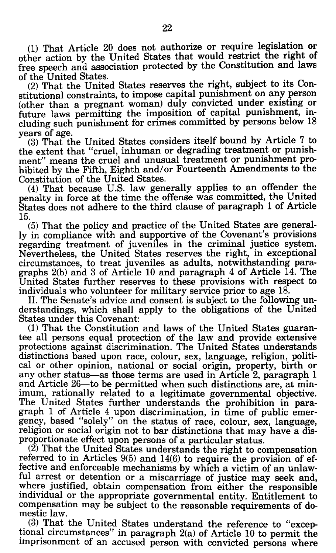(1) That Article 20 does not authorize or require legislation or other action by the United States that would restrict the right of free speech and association protected by the Constitution and laws of the United States.

(2) That the United States reserves the right, subject to its Constitutional constraints, to impose capital punishment on any person (other than a pregnant woman) duly convicted under existing or future laws permitting the imposition of capital punishment, including such punishment for crimes committed by persons below 18 years of age.

(3) That the United States considers itself bound by Article **7** to the extent that "cruel, inhuman or degrading treatment or punishment" means the cruel and unusual treatment or punishment prohibited by the Fifth, Eighth and/or Fourteenth Amendments to the Constitution of the United States.

(4) That because U.S. law generally applies to an offender the penalty in force at the time the offense was committed, the United States does not adhere to the third clause of paragraph 1 of Article 15.

(5) That the policy and practice of the United States are generally in compliance with and supportive of the Covenant's provisions regarding treatment of juveniles in the criminal justice system. Nevertheless, the United States reserves the right, in exceptional circumstances, to treat juveniles as adults, notwithstanding paragraphs 2(b) and 3 of Article 10 and paragraph 4 of Article 14. The United States further reserves to these provisions with respect to individuals who volunteer for military service prior to age 18.

II. The Senate's advice and consent is subject to the following understandings, which shall apply to the obligations of the United States under this Covenant:

(1) That the Constitution and laws of the United States guarantee all persons equal protection of the law and provide extensive protections against discrimination. The United States understands distinctions based upon race, colour, sex, language, religion, political or other opinion, national or social origin, property, birth or any other status—as those terms are used in Article 2, paragraph 1 and Article 26—to be permitted when such distinctions are, at minimum, rationally related to a legitimate governmental objective. The United States further understands the prohibition in paragraph 1 of Article 4 upon discrimination, in time of public emergency, based "solely" on the status of race, colour, sex, language religion or social origin not to bar distinctions that may have a disproportionate effect upon persons of a particular status.

(2) That the United States understands the right to compensation referred to in Articles 9(5) and 14(6) to require the provision of effective and enforceable mechanisms by which a victim of an unlawful arrest or detention or a miscarriage of justice may seek and, where justified, obtain compensation from either the responsible individual or the appropriate governmental entity. Entitlement to compensation may be subject to the reasonable requirements of domestic law.

(3) That the United States understand the reference to "exceptional circumstances" in paragraph 2(a) of Article 10 to permit the imprisonment of an accused person with convicted persons where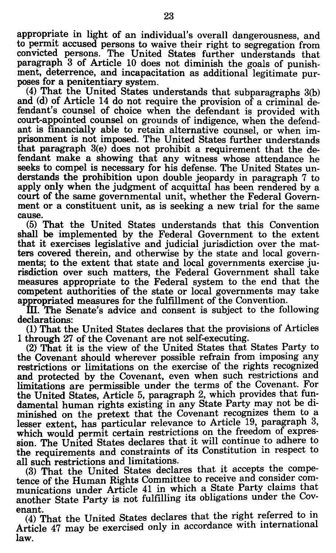appropriate in light of an individual's overall dangerousness, and to permit accused persons to waive their right to segregation from convicted persons. The United States further understands that paragraph 3 of Article 10 does not diminish the goals of punishment, deterrence, and incapacitation as additional legitimate purposes for a penitentiary system.

(4) That the United States understands that subparagraphs 3(b) and (d) of Article 14 do not require the provision of a criminal defendant's counsel of choice when the defendant is provided with court-appointed counsel on grounds of indigence, when the defendant is financially able to retain alternative counsel, or when imprisonment is not imposed. The United States further understands that paragraph 3(e) does not prohibit a requirement that the defendant make a showing that any witness whose attendance he seeks to compel is necessary for his defense. The United States understands the prohibition upon double jeopardy in paragraph 7 to apply only when the judgment of acquittal has been rendered by a court of the same governmental unit, whether the Federal Government or a constituent unit, as is seeking a new trial for the same cause.

(5) That the United States understands that this Convention shall be implemented by the Federal Government to the extent that it exercises legislative and judicial jurisdiction over the matters covered therein, and otherwise by the state and local governments; to the extent that state and local governments exercise jurisdiction over such matters, the Federal Government shall take measures appropriate to the Federal system to the end that the competent authorities of the state or local governments may take appropriated measures for the fulfillment of the Convention.

**Ill.** The Senate's advice and consent is subject to the following declarations:

(1) That the United States declares that the provisions of Articles 1 through 27 of the Covenant are not self-executing.

(2) That it is the view of the United States that States Party to the Covenant should wherever possible refrain from imposing any restrictions or limitations on the exercise of the rights recognized and protected by the Covenant, even when such restrictions and limitations are permissible under the terms of the Covenant. For the United States, Article 5, paragraph 2, which provides that fundamental human rights existing in any State Party may not be diminished on the pretext that the Covenant recognizes them to a lesser extent, has particular relevance to Article 19, paragraph 3, which would permit certain restrictions on the freedom of expression. The United States declares that it will continue to adhere to the requirements and constraints of its Constitution in respect to all such restrictions and limitations.

(3) That the United States declares that it accepts the competence of the Human Rights Committee to receive and consider communications under Article 41 in which a State Party claims that another State Party is not fulfilling its obligations under the Covenant.

(4) That the United States declares that the right referred to in Article 47 may be exercised only in accordance with international law.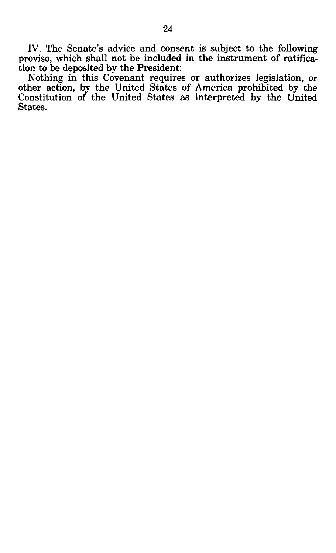IV. The Senate's advice and consent is subject to the following proviso, which shall not be included in the instrument of ratification to be deposited by the President:

Nothing in this Covenant requires or authorizes legislation, or other action, by the United States of America prohibited by the Constitution of the United States as interpreted by the United States.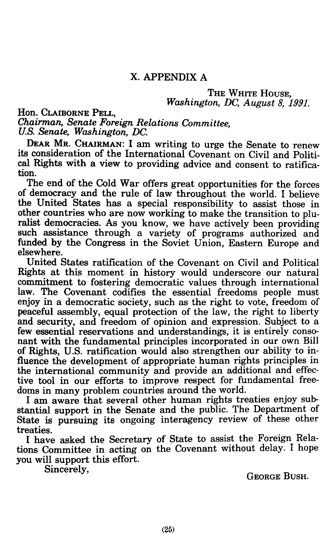## X. APPENDIX A

### **THE** WHITE **HOUSE,** *Washington, DC, August 8, 1991.*

Hon. **CLAIBORNE PELL,** *Chairman, Senate Foreign Relations Committee, US. Senate, Washington, DC.*

**DEAR** MR. **CHAIRMAN:** I am writing to urge the Senate to renew its consideration of the International Covenant on Civil and Political Rights with a view to providing advice and consent to ratification.

The end of the Cold War offers great opportunities for the forces of democracy and the rule of law throughout the world. I believe the United States has a special responsibility to assist those in other countries who are now working to make the transition to plu- ralist democracies. As you know, we have actively been providing such assistance through a variety of programs authorized and funded by the Congress in the Soviet Union, Eastern Europe and elsewhere.

United States ratification of the Covenant on Civil and Political Rights at this moment in history would underscore our natural commitment to fostering democratic values through international law. The Covenant codifies the essential freedoms people must enjoy in a democratic society, such as the right to vote, freedom **of** and security, and freedom of opinion and expression. Subject to a few essential reservations and understandings, it is entirely consonant with the fundamental principles incorporated in our own Bill of Rights, U.S. ratification would also strengthen our ability to influence the development of appropriate human rights principles in the international community and provide an additional and effective tool in our efforts to improve respect for fundamental freedoms in many problem countries around the world.

I am aware that several other human rights treaties enjoy substantial support in the Senate and the public. The Department **of** State is pursuing its ongoing interagency review of these other treaties.

I have asked the Secretary of State to assist the Foreign Relations Committee in acting on the Covenant without delay. I hope you will support this effort.

Sincerely, **GEORGE BUSH.** GEORGE BUSH.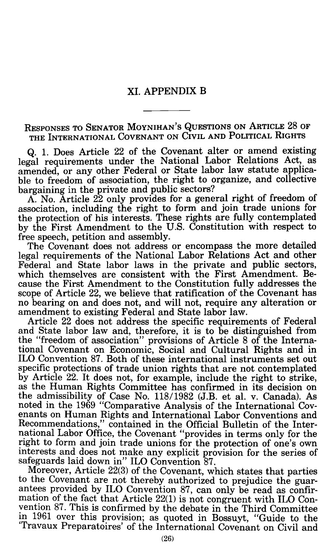## XI. APPENDIX B

RESPONSES TO SENATOR MOYNIHAN'S QUESTIONS **ON** ARTICLE 28 OF **THE** INTERNATIONAL **COVENANT** ON CIVIL **AND** POLITICAL RIGHTS

**Q. 1.** Does Article 22 of the Covenant alter or amend existing legal requirements under the National Labor Relations Act, as amended, or any other Federal or State labor law statute applicable to freedom of association, the right to organize, and collective bargaining in the private and public sectors?

**A.** No. Article 22 only provides for a general right of freedom of association, including the right to form and join trade unions for the protection of his interests. These rights are fully contemplated **by** the First Amendment to the **U.S.** Constitution with respect to free speech, petition and assembly.

The Covenant does not address or encompass the more detailed legal requirements of the National Labor Relations Act and other Federal and State labor laws in the private and public sectors, which themselves are consistent with the First Amendment. Because the First Amendment to the Constitution fully addresses the scope of Article 22, we believe that ratification of the Covenant has no bearing on and does not, and will not, require any alteration or amendment to existing Federal and State labor law.

Article 22 does not address the specific requirements of Federal and State labor law and, therefore, it is to be distinguished from the "freedom of association" provisions of Article 8 of the International Covenant on Economic, Social and Cultural Rights and in ILO Convention **87.** Both of these international instruments set out specific protections of trade union rights that are not contemplated **by** Article 22. It does not, for example, include the right to strike, as the Human Rights Committee has confirmed in its decision on the admissibility of Case No. **118/1982 (J.B.** et al. v. Canada). As noted in the **1969** "Comparative Analysis of the International Covenants on Human Rights and International Labor Conventions and Recommendations," contained in the Official Bulletin of the International Labor Office, the Covenant "provides in terms only for the right to form and join trade unions for the protection of one's own interests and does not make any explicit provision for the series of safeguards laid down in" ILO Convention **87.**

Moreover, Article **22(3)** of the Covenant, which states that parties to the Covenant are not thereby authorized to prejudice the guarantees provided **by** ILO Convention **87,** can only be read as confirmation of the fact that Article 22(1) is not congruent with ILO Convention **87.** This is confirmed **by** the debate in the Third Committee in 1961 over this provision; as quoted in Bossuyt, "Guide to the 'Travaux Preparatoires' of the International Covenant on Civil and